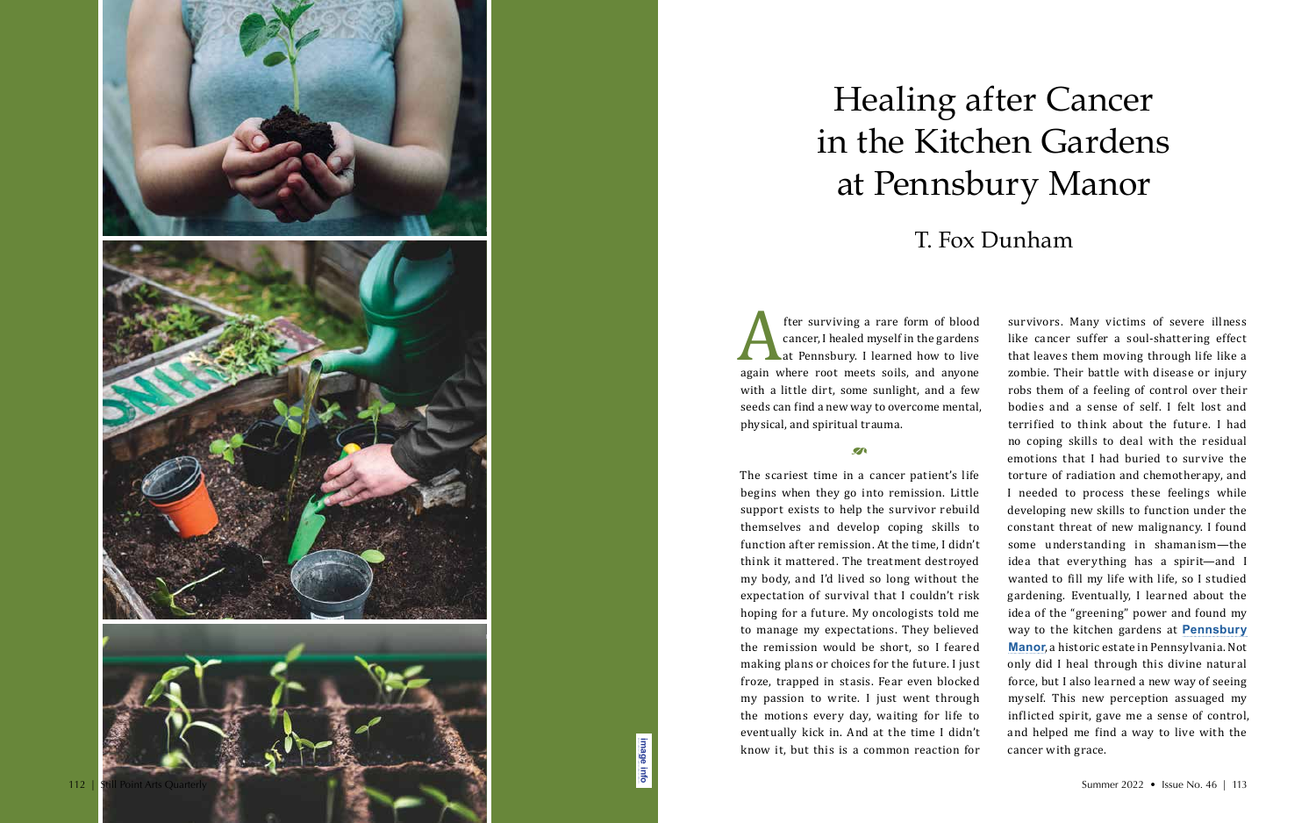The surviving a rare form of blood<br>cancer, I healed myself in the gardens<br>at Pennsbury. I learned how to live<br>again where root meets soils, and anyone<br>with a little dirt, some sunlight, and a few cancer, I healed myself in the gardens at Pennsbury. I learned how to live again where root meets soils, and anyone with a little dirt, some sunlight, and a few seeds can find a new way to overcome mental, physical, and spiritual trauma.

 $\mathcal{L}$ 

The scariest time in a cancer patient's life begins when they go into remission. Little support exists to help the survivor rebuild themselves and develop coping skills to function after remission. At the time, I didn't think it mattered. The treatment destroyed my body, and I'd lived so long without the expectation of survival that I couldn't risk hoping for a future. My oncologists told me to manage my expectations. They believed the remission would be short, so I feared making plans or choices for the future. I just froze, trapped in stasis. Fear even blocked my passion to write. I just went through the motions every day, waiting for life to eventually kick in. And at the time I didn't know it, but this is a common reaction for

survivors. Many victims of severe illness like cancer suffer a soul-shattering effect that leaves them moving through life like a zombie. Their battle with disease or injury robs them of a feeling of control over their bodies and a sense of self. I felt lost and terrified to think about the future. I had no coping skills to deal with the residual emotions that I had buried to survive the torture of radiation and chemotherapy, and I needed to process these feelings while developing new skills to function under the constant threat of new malignancy. I found some understanding in shamanism—the idea that everything has a spirit—and I wanted to fill my life with life, so I studied gardening. Eventually, I learned about the idea of the "greening" power and found my way to the kitchen gardens at **[Pennsbury](http://www.pennsburymanor.org)  [Manor](http://www.pennsburymanor.org)**, a historic estate in Pennsylvania. Not only did I heal through this divine natural force, but I also learned a new way of seeing myself. This new perception assuaged my inflicted spirit, gave me a sense of control, and helped me find a way to live with the

cancer with grace.

# Healing after Cancer in the Kitchen Gardens at Pennsbury Manor

## T. Fox Dunham

**[image info](http://www.shantiarts.co/SPAQ/SPAQ46/files/SPAQ46_SUM22_DIGITAL_IMAGECREDITS.pdf)**

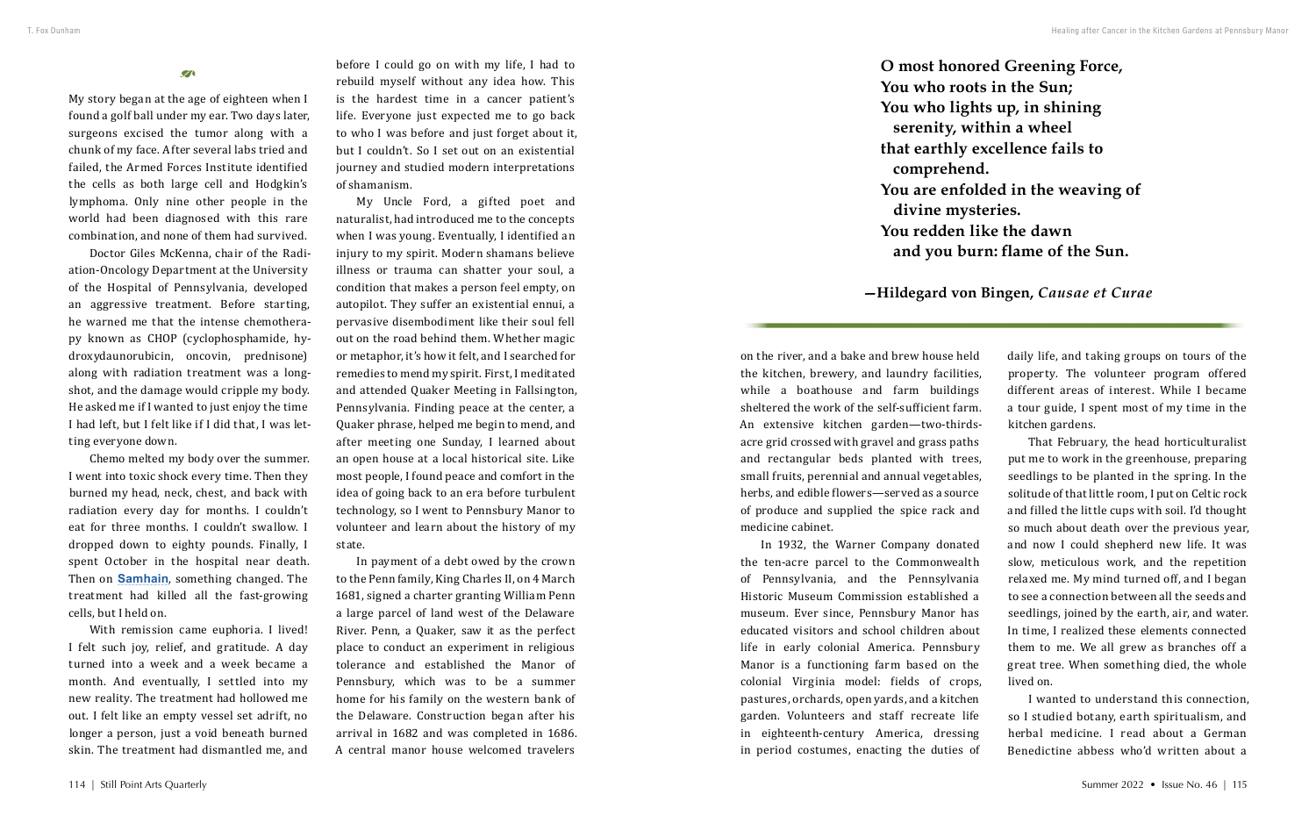#### $\mathbf{Z}$

**O most honored Greening Force, You who roots in the Sun; You who lights up, in shining serenity, within a wheel that earthly excellence fails to comprehend. You are enfolded in the weaving of divine mysteries. You redden like the dawn and you burn: flame of the Sun.**

### **—Hildegard von Bingen,** *Causae et Curae*

My story began at the age of eighteen when I found a golf ball under my ear. Two days later, surgeons excised the tumor along with a chunk of my face. After several labs tried and failed, the Armed Forces Institute identified the cells as both large cell and Hodgkin's lymphoma. Only nine other people in the world had been diagnosed with this rare combination, and none of them had survived.

Doctor Giles McKenna, chair of the Radiation-Oncology Department at the University of the Hospital of Pennsylvania, developed an aggressive treatment. Before starting, he warned me that the intense chemotherapy known as CHOP (cyclophosphamide, hydroxydaunorubicin, oncovin, prednisone) along with radiation treatment was a longshot, and the damage would cripple my body. He asked me if I wanted to just enjoy the time I had left, but I felt like if I did that, I was letting everyone down.

Chemo melted my body over the summer. I went into toxic shock every time. Then they burned my head, neck, chest, and back with radiation every day for months. I couldn't eat for three months. I couldn't swallow. I dropped down to eighty pounds. Finally, I spent October in the hospital near death. Then on **[Samhain](https://en.wikipedia.org/wiki/Samhain)**, something changed. The treatment had killed all the fast-growing cells, but I held on.

With remission came euphoria. I lived! I felt such joy, relief, and gratitude. A day turned into a week and a week became a month. And eventually, I settled into my new reality. The treatment had hollowed me out. I felt like an empty vessel set adrift, no longer a person, just a void beneath burned skin. The treatment had dismantled me, and

before I could go on with my life, I had to rebuild myself without any idea how. This is the hardest time in a cancer patient's life. Everyone just expected me to go back to who I was before and just forget about it, but I couldn't. So I set out on an existential journey and studied modern interpretations of shamanism.

My Uncle Ford, a gifted poet and naturalist, had introduced me to the concepts when I was young. Eventually, I identified an injury to my spirit. Modern shamans believe illness or trauma can shatter your soul, a condition that makes a person feel empty, on autopilot. They suffer an existential ennui, a pervasive disembodiment like their soul fell out on the road behind them. Whether magic or metaphor, it's how it felt, and I searched for remedies to mend my spirit. First, I meditated and attended Quaker Meeting in Fallsington, Pennsylvania. Finding peace at the center, a Quaker phrase, helped me begin to mend, and after meeting one Sunday, I learned about an open house at a local historical site. Like most people, I found peace and comfort in the idea of going back to an era before turbulent technology, so I went to Pennsbury Manor to volunteer and learn about the history of my state.

In payment of a debt owed by the crown to the Penn family, King Charles II, on 4 March 1681, signed a charter granting William Penn a large parcel of land west of the Delaware River. Penn, a Quaker, saw it as the perfect place to conduct an experiment in religious tolerance and established the Manor of Pennsbury, which was to be a summer home for his family on the western bank of the Delaware. Construction began after his arrival in 1682 and was completed in 1686. A central manor house welcomed travelers

on the river, and a bake and brew house held the kitchen, brewery, and laundry facilities, while a boathouse and farm buildings sheltered the work of the self-sufficient farm. An extensive kitchen garden—two-thirdsacre grid crossed with gravel and grass paths and rectangular beds planted with trees, small fruits, perennial and annual vegetables, herbs, and edible flowers—served as a source of produce and supplied the spice rack and medicine cabinet.

In 1932, the Warner Company donated the ten-acre parcel to the Commonwealth of Pennsylvania, and the Pennsylvania Historic Museum Commission established a museum. Ever since, Pennsbury Manor has educated visitors and school children about life in early colonial America. Pennsbury Manor is a functioning farm based on the colonial Virginia model: fields of crops, pastures, orchards, open yards, and a kitchen garden. Volunteers and staff recreate life in eighteenth-century America, dressing in period costumes, enacting the duties of

daily life, and taking groups on tours of the property. The volunteer program offered different areas of interest. While I became a tour guide, I spent most of my time in the kitchen gardens.

That February, the head horticulturalist put me to work in the greenhouse, preparing seedlings to be planted in the spring. In the solitude of that little room, I put on Celtic rock and filled the little cups with soil. I'd thought so much about death over the previous year, and now I could shepherd new life. It was slow, meticulous work, and the repetition relaxed me. My mind turned off, and I began to see a connection between all the seeds and seedlings, joined by the earth, air, and water. In time, I realized these elements connected them to me. We all grew as branches off a great tree. When something died, the whole lived on.

I wanted to understand this connection, so I studied botany, earth spiritualism, and herbal medicine. I read about a German Benedictine abbess who'd written about a